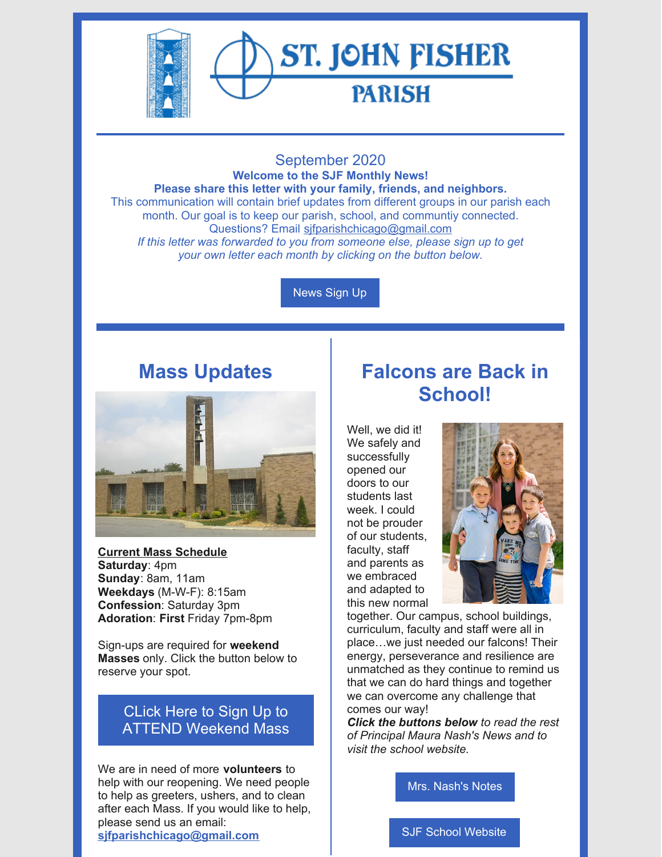

# **ST. JOHN FISHER PARISH**

#### September 2020 **Welcome to the SJF Monthly News! Please share this letter with your family, friends, and neighbors.** This communication will contain brief updates from different groups in our parish each month. Our goal is to keep our parish, school, and communtiy connected. Questions? Email sifparishchicago@gmail.com *If this letter was forwarded to you from someone else, please sign up to get your own letter each month by clicking on the button below.*

[News](https://docs.google.com/forms/d/e/1FAIpQLSey4SlJOgpZFdzyTJAg0kyqzXphBqVOrwQeI0U8MzsWtt6Hvg/viewform?usp=sf_link) Sign Up

## **Mass Updates**



**Current Mass Schedule Saturday**: 4pm **Sunday**: 8am, 11am **Weekdays** (M-W-F): 8:15am **Confession**: Saturday 3pm **Adoration**: **First** Friday 7pm-8pm

Sign-ups are required for **weekend Masses** only. Click the button below to reserve your spot.

## CLick Here to Sign Up to ATTEND [Weekend](https://www.signupgenius.com/go/20f0448a9aa2aa7f85-stjohn) Mass

We are in need of more **volunteers** to help with our reopening. We need people to help as greeters, ushers, and to clean after each Mass. If you would like to help, please send us an email: **[sjfparishchicago@gmail.com](mailto:sjfparishchicago@gmail.com)**

# **Falcons are Back in School!**

Well, we did it! We safely and successfully opened our doors to our students last week. I could not be prouder of our students, faculty, staff and parents as we embraced and adapted to this new normal



together. Our campus, school buildings, curriculum, faculty and staff were all in place…we just needed our falcons! Their energy, perseverance and resilience are unmatched as they continue to remind us that we can do hard things and together we can overcome any challenge that comes our way!

*Click the buttons below to read the rest of Principal Maura Nash's News and to visit the school website.*

Mrs. [Nash's](https://www.sjfschool.net/assets/1/16/Notes_from_Mrs._Nash_September_4,_2020.pdf?5623) Notes

SJF School [Website](https://www.sjfschool.net/)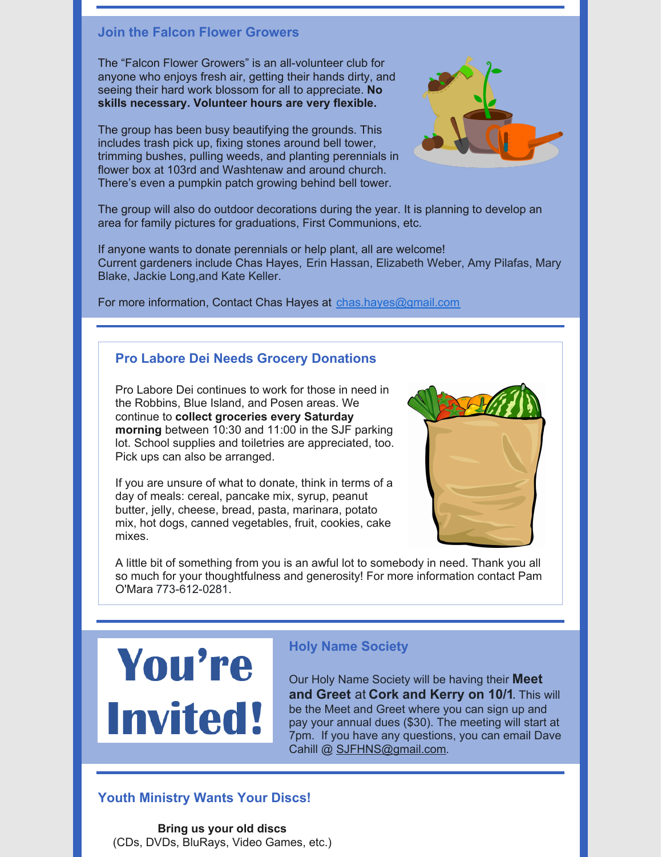#### **Join the Falcon Flower Growers**

The "Falcon Flower Growers" is an all-volunteer club for anyone who enjoys fresh air, getting their hands dirty, and seeing their hard work blossom for all to appreciate. **No skills necessary. Volunteer hours are very flexible.**

The group has been busy beautifying the grounds. This includes trash pick up, fixing stones around bell tower, trimming bushes, pulling weeds, and planting perennials in flower box at 103rd and Washtenaw and around church. There's even a pumpkin patch growing behind bell tower.



The group will also do outdoor decorations during the year. It is planning to develop an area for family pictures for graduations, First Communions, etc.

If anyone wants to donate perennials or help plant, all are welcome! Current gardeners include Chas Hayes, Erin Hassan, Elizabeth Weber, Amy Pilafas, Mary Blake, Jackie Long,and Kate Keller.

For more information, Contact Chas Hayes at [chas.hayes@gmail.com](mailto:chas.hayes@gmail.com)

### **Pro Labore Dei Needs Grocery Donations**

Pro Labore Dei continues to work for those in need in the Robbins, Blue Island, and Posen areas. We continue to **collect groceries every Saturday morning** between 10:30 and 11:00 in the SJF parking lot. School supplies and toiletries are appreciated, too. Pick ups can also be arranged.

If you are unsure of what to donate, think in terms of a day of meals: cereal, pancake mix, syrup, peanut butter, jelly, cheese, bread, pasta, marinara, potato mix, hot dogs, canned vegetables, fruit, cookies, cake mixes.



A little bit of something from you is an awful lot to somebody in need. Thank you all so much for your thoughtfulness and generosity! For more information contact Pam O'Mara 773-612-0281.



### **Holy Name Society**

Our Holy Name Society will be having their **Meet and Greet** at **Cork and Kerry on 10/1**. This will be the Meet and Greet where you can sign up and pay your annual dues (\$30). The meeting will start at 7pm. If you have any questions, you can email Dave Cahill @ [SJFHNS@gmail.com](mailto:SJFHNS@gmail.com).

### **Youth Ministry Wants Your Discs!**

**Bring us your old discs** (CDs, DVDs, BluRays, Video Games, etc.)